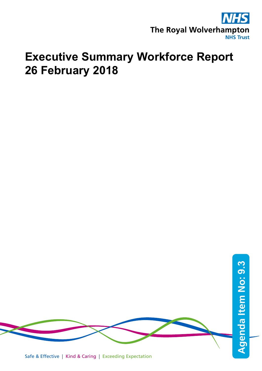

# **Executive Summary Workforce Report 26 February 2018**

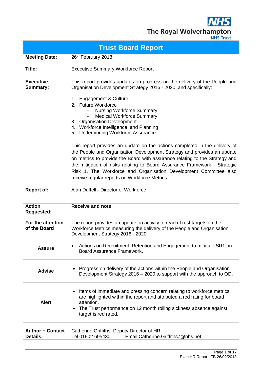**NHS** The Royal Wolverhampton

|                                            | <b>Trust Board Report</b>                                                                                                                                                                                                                                                                                                                                                                                                                                                                                                                                                                                                                                                                                                                                                                                                           |
|--------------------------------------------|-------------------------------------------------------------------------------------------------------------------------------------------------------------------------------------------------------------------------------------------------------------------------------------------------------------------------------------------------------------------------------------------------------------------------------------------------------------------------------------------------------------------------------------------------------------------------------------------------------------------------------------------------------------------------------------------------------------------------------------------------------------------------------------------------------------------------------------|
| <b>Meeting Date:</b>                       | 26 <sup>th</sup> February 2018                                                                                                                                                                                                                                                                                                                                                                                                                                                                                                                                                                                                                                                                                                                                                                                                      |
| Title:                                     | <b>Executive Summary Workforce Report</b>                                                                                                                                                                                                                                                                                                                                                                                                                                                                                                                                                                                                                                                                                                                                                                                           |
| <b>Executive</b><br><b>Summary:</b>        | This report provides updates on progress on the delivery of the People and<br>Organisation Development Strategy 2016 - 2020, and specifically:<br>1. Engagement & Culture<br>2. Future Workforce<br><b>Nursing Workforce Summary</b><br><b>Medical Workforce Summary</b><br>3. Organisation Development<br>4. Workforce Intelligence and Planning<br>5. Underpinning Workforce Assurance<br>This report provides an update on the actions completed in the delivery of<br>the People and Organisation Development Strategy and provides an update<br>on metrics to provide the Board with assurance relating to the Strategy and<br>the mitigation of risks relating to Board Assurance Framework - Strategic<br>Risk 1. The Workforce and Organisation Development Committee also<br>receive regular reports on Workforce Metrics. |
| <b>Report of:</b>                          | Alan Duffell - Director of Workforce                                                                                                                                                                                                                                                                                                                                                                                                                                                                                                                                                                                                                                                                                                                                                                                                |
| <b>Action</b><br><b>Requested:</b>         | <b>Receive and note</b>                                                                                                                                                                                                                                                                                                                                                                                                                                                                                                                                                                                                                                                                                                                                                                                                             |
| For the attention<br>of the Board          | The report provides an update on activity to reach Trust targets on the<br>Workforce Metrics measuring the delivery of the People and Organisation<br>Development Strategy 2016 - 2020                                                                                                                                                                                                                                                                                                                                                                                                                                                                                                                                                                                                                                              |
| <b>Assure</b>                              | Actions on Recruitment, Retention and Engagement to mitigate SR1 on<br>Board Assurance Framework.                                                                                                                                                                                                                                                                                                                                                                                                                                                                                                                                                                                                                                                                                                                                   |
| <b>Advise</b>                              | Progress on delivery of the actions within the People and Organisation<br>Development Strategy 2016 - 2020 to support with the approach to OD.                                                                                                                                                                                                                                                                                                                                                                                                                                                                                                                                                                                                                                                                                      |
| <b>Alert</b>                               | Items of immediate and pressing concern relating to workforce metrics<br>٠<br>are highlighted within the report and attributed a red rating for board<br>attention.<br>The Trust performance on 12 month rolling sickness absence against<br>$\bullet$<br>target is red rated.                                                                                                                                                                                                                                                                                                                                                                                                                                                                                                                                                      |
| <b>Author + Contact</b><br><b>Details:</b> | Catherine Griffiths, Deputy Director of HR<br>Tel 01902 695430<br>Email Catherine.Griffiths7@nhs.net                                                                                                                                                                                                                                                                                                                                                                                                                                                                                                                                                                                                                                                                                                                                |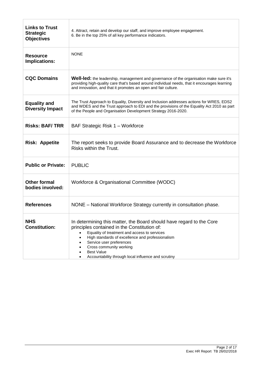| <b>Links to Trust</b><br><b>Strategic</b><br><b>Objectives</b> | 4. Attract, retain and develop our staff, and improve employee engagement.<br>6. Be in the top 25% of all key performance indicators.                                                                                                                                                                                                                       |  |  |
|----------------------------------------------------------------|-------------------------------------------------------------------------------------------------------------------------------------------------------------------------------------------------------------------------------------------------------------------------------------------------------------------------------------------------------------|--|--|
| <b>Resource</b><br>Implications:                               | <b>NONE</b>                                                                                                                                                                                                                                                                                                                                                 |  |  |
| <b>CQC Domains</b>                                             | <b>Well-led:</b> the leadership, management and governance of the organisation make sure it's<br>providing high-quality care that's based around individual needs, that it encourages learning<br>and innovation, and that it promotes an open and fair culture.                                                                                            |  |  |
| <b>Equality and</b><br><b>Diversity Impact</b>                 | The Trust Approach to Equality, Diversity and Inclusion addresses actions for WRES, EDS2<br>and WDES and the Trust approach to EDI and the provisions of the Equality Act 2010 as part<br>of the People and Organisation Development Strategy 2016-2020.                                                                                                    |  |  |
| <b>Risks: BAF/TRR</b>                                          | BAF Strategic Risk 1 - Workforce                                                                                                                                                                                                                                                                                                                            |  |  |
| <b>Risk: Appetite</b>                                          | The report seeks to provide Board Assurance and to decrease the Workforce<br>Risks within the Trust.                                                                                                                                                                                                                                                        |  |  |
| <b>Public or Private:</b>                                      | <b>PUBLIC</b>                                                                                                                                                                                                                                                                                                                                               |  |  |
| <b>Other formal</b><br>bodies involved:                        | Workforce & Organisational Committee (WODC)                                                                                                                                                                                                                                                                                                                 |  |  |
| <b>References</b>                                              | NONE – National Workforce Strategy currently in consultation phase.                                                                                                                                                                                                                                                                                         |  |  |
| <b>NHS</b><br><b>Constitution:</b>                             | In determining this matter, the Board should have regard to the Core<br>principles contained in the Constitution of:<br>Equality of treatment and access to services<br>High standards of excellence and professionalism<br>Service user preferences<br>Cross community working<br><b>Best Value</b><br>Accountability through local influence and scrutiny |  |  |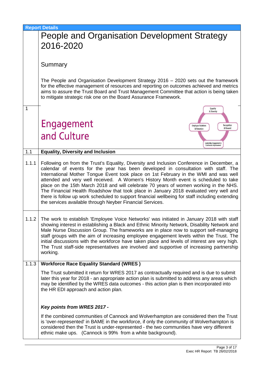|       | <b>Report Details</b>                                                                                                                                                                                                                                                                                                                                                                                                                                                                                                                                                                                                                                                                                           |
|-------|-----------------------------------------------------------------------------------------------------------------------------------------------------------------------------------------------------------------------------------------------------------------------------------------------------------------------------------------------------------------------------------------------------------------------------------------------------------------------------------------------------------------------------------------------------------------------------------------------------------------------------------------------------------------------------------------------------------------|
|       | People and Organisation Development Strategy                                                                                                                                                                                                                                                                                                                                                                                                                                                                                                                                                                                                                                                                    |
|       | 2016-2020                                                                                                                                                                                                                                                                                                                                                                                                                                                                                                                                                                                                                                                                                                       |
|       |                                                                                                                                                                                                                                                                                                                                                                                                                                                                                                                                                                                                                                                                                                                 |
|       | Summary                                                                                                                                                                                                                                                                                                                                                                                                                                                                                                                                                                                                                                                                                                         |
|       |                                                                                                                                                                                                                                                                                                                                                                                                                                                                                                                                                                                                                                                                                                                 |
|       | The People and Organisation Development Strategy 2016 – 2020 sets out the framework<br>for the effective management of resources and reporting on outcomes achieved and metrics<br>aims to assure the Trust Board and Trust Management Committee that action is being taken<br>to mitigate strategic risk one on the Board Assurance Framework.                                                                                                                                                                                                                                                                                                                                                                 |
| 1     | Equality<br>& Diversity                                                                                                                                                                                                                                                                                                                                                                                                                                                                                                                                                                                                                                                                                         |
|       |                                                                                                                                                                                                                                                                                                                                                                                                                                                                                                                                                                                                                                                                                                                 |
|       | Engagement<br>Recognition<br><b>Employee Relations</b><br>& Reward<br>& Retention                                                                                                                                                                                                                                                                                                                                                                                                                                                                                                                                                                                                                               |
|       | and Culture                                                                                                                                                                                                                                                                                                                                                                                                                                                                                                                                                                                                                                                                                                     |
|       | Leadership, Engagement &<br>Continuous improvement                                                                                                                                                                                                                                                                                                                                                                                                                                                                                                                                                                                                                                                              |
| 1.1   | <b>Equality, Diversity and Inclusion</b>                                                                                                                                                                                                                                                                                                                                                                                                                                                                                                                                                                                                                                                                        |
| 1.1.1 | Following on from the Trust's Equality, Diversity and Inclusion Conference in December, a<br>calendar of events for the year has been developed in consultation with staff. The<br>International Mother Tongue Event took place on 1st February in the WMI and was well<br>attended and very well received. A Women's History Month event is scheduled to take<br>place on the 15th March 2018 and will celebrate 70 years of women working in the NHS.<br>The Financial Health Roadshow that took place in January 2018 evaluated very well and<br>there is follow up work scheduled to support financial wellbeing for staff including extending<br>the services available through Neyber Financial Services. |
|       | 1.1.2 The work to establish Employee Voice Networks' was initiated in January 2018 with staff<br>showing interest in establishing a Black and Ethnic Minority Network, Disability Network and<br>Male Nurse Discussion Group. The frameworks are in place now to support self-managing<br>staff groups with the aim of increasing employee engagement levels within the Trust. The<br>initial discussions with the workforce have taken place and levels of interest are very high.<br>The Trust staff-side representatives are involved and supportive of increasing partnership<br>working.                                                                                                                   |
| 1.1.3 | <b>Workforce Race Equality Standard (WRES)</b>                                                                                                                                                                                                                                                                                                                                                                                                                                                                                                                                                                                                                                                                  |
|       | The Trust submitted it return for WRES 2017 as contractually required and is due to submit<br>later this year for 2018 - an appropriate action plan is submitted to address any areas which<br>may be identified by the WRES data outcomes - this action plan is then incorporated into<br>the HR EDI approach and action plan.                                                                                                                                                                                                                                                                                                                                                                                 |
|       | Key points from WRES 2017 -                                                                                                                                                                                                                                                                                                                                                                                                                                                                                                                                                                                                                                                                                     |
|       | If the combined communities of Cannock and Wolverhampton are considered then the Trust<br>is 'over-represented' in BAME in the workforce, if only the community of Wolverhampton is<br>considered then the Trust is under-represented - the two communities have very different<br>ethnic make ups. (Cannock is 99% from a white background).                                                                                                                                                                                                                                                                                                                                                                   |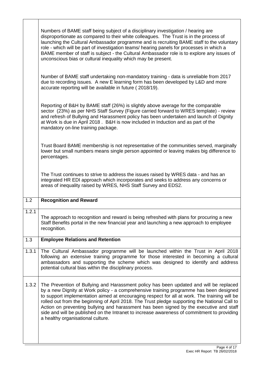|       | Numbers of BAME staff being subject of a disciplinary investigation / hearing are<br>disproportionate as compared to their white colleagues. The Trust is in the process of<br>launching the Cultural Ambassador programme and is recruiting BAME staff to the voluntary<br>role - which will be part of investigation teams/ hearing panels for processes in which a<br>BAME member of staff is subject - the Cultural Ambassador role is to explore any issues of<br>unconscious bias or cultural inequality which may be present. |
|-------|--------------------------------------------------------------------------------------------------------------------------------------------------------------------------------------------------------------------------------------------------------------------------------------------------------------------------------------------------------------------------------------------------------------------------------------------------------------------------------------------------------------------------------------|
|       | Number of BAME staff undertaking non-mandatory training - data is unreliable from 2017<br>due to recording issues. A new E learning form has been developed by L&D and more<br>accurate reporting will be available in future (2018/19).                                                                                                                                                                                                                                                                                             |
|       | Reporting of B&H by BAME staff (26%) is slightly above average for the comparable<br>sector (23%) as per NHS Staff Survey (Figure carried forward to WRES template) - review<br>and refresh of Bullying and Harassment policy has been undertaken and launch of Dignity<br>at Work is due in April 2018. B&H is now included in Induction and as part of the<br>mandatory on-line training package.                                                                                                                                  |
|       | Trust Board BAME membership is not representative of the communities served, marginally<br>lower but small numbers means single person appointed or leaving makes big difference to<br>percentages.                                                                                                                                                                                                                                                                                                                                  |
|       | The Trust continues to strive to address the issues raised by WRES data - and has an<br>integrated HR EDI approach which incorporates and seeks to address any concerns or<br>areas of inequality raised by WRES, NHS Staff Survey and EDS2.                                                                                                                                                                                                                                                                                         |
|       |                                                                                                                                                                                                                                                                                                                                                                                                                                                                                                                                      |
| 1.2   | <b>Recognition and Reward</b>                                                                                                                                                                                                                                                                                                                                                                                                                                                                                                        |
| 1.2.1 | The approach to recognition and reward is being refreshed with plans for procuring a new<br>Staff Benefits portal in the new financial year and launching a new approach to employee<br>recognition.                                                                                                                                                                                                                                                                                                                                 |
| 1.3   | <b>Employee Relations and Retention</b>                                                                                                                                                                                                                                                                                                                                                                                                                                                                                              |
| 1.3.1 | The Cultural Ambassador programme will be launched within the Trust in April 2018<br>following an extensive training programme for those interested in becoming a cultural<br>ambassadors and supporting the scheme which was designed to identify and address<br>potential cultural bias within the disciplinary process.                                                                                                                                                                                                           |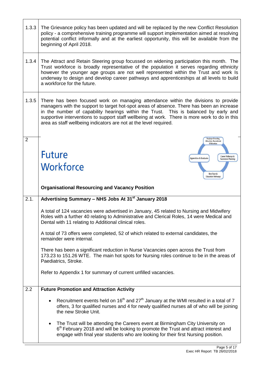| 1.3.3 | The Grievance policy has been updated and will be replaced by the new Conflict Resolution<br>policy - a comprehensive training programme will support implementation aimed at resolving<br>potential conflict informally and at the earliest opportunity, this will be available from the<br>beginning of April 2018.                                                                                                                         |
|-------|-----------------------------------------------------------------------------------------------------------------------------------------------------------------------------------------------------------------------------------------------------------------------------------------------------------------------------------------------------------------------------------------------------------------------------------------------|
| 1.3.4 | The Attract and Retain Steering group focussed on widening participation this month. The<br>Trust workforce is broadly representative of the population it serves regarding ethnicity<br>however the younger age groups are not well represented within the Trust and work Is<br>underway to design and develop career pathways and apprenticeships at all levels to build<br>a workforce for the future.                                     |
| 1.3.5 | There has been focused work on managing attendance within the divisions to provide<br>managers with the support to target hot-spot areas of absence. There has been an increase<br>in the number of capability hearings within the Trust. This is balanced by early and<br>supportive interventions to support staff wellbeing at work. There is more work to do in this<br>area as staff wellbeing indicators are not at the level required. |
| 2     | <b>Employer Branding,</b><br><b>Attraction, Recruitment</b><br>& Retention                                                                                                                                                                                                                                                                                                                                                                    |
|       | <b>Future</b><br>Career Pathways &<br><b>Apprentices &amp; Graduates</b><br><b>Succession Planning</b>                                                                                                                                                                                                                                                                                                                                        |
|       | Workforce                                                                                                                                                                                                                                                                                                                                                                                                                                     |
|       | Best Start &<br><b>Education Pathways</b>                                                                                                                                                                                                                                                                                                                                                                                                     |
|       |                                                                                                                                                                                                                                                                                                                                                                                                                                               |
|       | <b>Organisational Resourcing and Vacancy Position</b>                                                                                                                                                                                                                                                                                                                                                                                         |
| 2.1.  | Advertising Summary - NHS Jobs At 31 <sup>st</sup> January 2018                                                                                                                                                                                                                                                                                                                                                                               |
|       | A total of 124 vacancies were advertised in January, 45 related to Nursing and Midwifery<br>Roles with a further 40 relating to Administrative and Clerical Roles, 14 were Medical and<br>Dental with 11 relating to Additional clinical roles.                                                                                                                                                                                               |
|       | A total of 73 offers were completed, 52 of which related to external candidates, the<br>remainder were internal.                                                                                                                                                                                                                                                                                                                              |
|       | There has been a significant reduction in Nurse Vacancies open across the Trust from<br>173.23 to 151.26 WTE. The main hot spots for Nursing roles continue to be in the areas of<br>Paediatrics, Stroke.                                                                                                                                                                                                                                     |
|       | Refer to Appendix 1 for summary of current unfilled vacancies.                                                                                                                                                                                                                                                                                                                                                                                |
| 2.2   | <b>Future Promotion and Attraction Activity</b>                                                                                                                                                                                                                                                                                                                                                                                               |
|       | Recruitment events held on $16th$ and $27th$ January at the WMI resulted in a total of 7<br>$\bullet$<br>offers, 3 for qualified nurses and 4 for newly qualified nurses all of who will be joining<br>the new Stroke Unit.                                                                                                                                                                                                                   |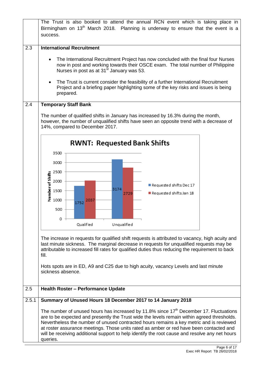|       | The Trust is also booked to attend the annual RCN event which is taking place in<br>Birmingham on 13 <sup>th</sup> March 2018. Planning is underway to ensure that the event is a<br>success.                                                                                                                                                                                                                                                                                                         |  |  |  |  |
|-------|-------------------------------------------------------------------------------------------------------------------------------------------------------------------------------------------------------------------------------------------------------------------------------------------------------------------------------------------------------------------------------------------------------------------------------------------------------------------------------------------------------|--|--|--|--|
| 2.3   | <b>International Recruitment</b><br>The International Recruitment Project has now concluded with the final four Nurses<br>$\bullet$<br>now in post and working towards their OSCE exam. The total number of Philippine<br>Nurses in post as at 31 <sup>st</sup> January was 53.<br>The Trust is current consider the feasibility of a further International Recruitment<br>$\bullet$<br>Project and a briefing paper highlighting some of the key risks and issues is being<br>prepared.              |  |  |  |  |
| 2.4   | <b>Temporary Staff Bank</b><br>The number of qualified shifts in January has increased by 16.3% during the month,<br>however, the number of unqualified shifts have seen an opposite trend with a decrease of<br>14%, compared to December 2017.                                                                                                                                                                                                                                                      |  |  |  |  |
|       | <b>RWNT: Requested Bank Shifts</b><br>3500<br>3000<br>2500<br>$\begin{array}{l}\n\text{4.13}\n\text{4.2500} \\ \text{5.1500} \\ \text{6.1500} \\ \text{7.1500} \\ \text{8.1500} \\ \text{9.1500}\n\end{array}$<br>$\blacksquare$ Requested shifts Dec 17<br>3174<br>Requested shifts Jan 18<br>2729<br>2037<br>1752<br>500<br>0<br>Qualified<br>Unqualified                                                                                                                                           |  |  |  |  |
|       | The increase in requests for qualified shift requests is attributed to vacancy, high acuity and<br>last minute sickness. The marginal decrease in requests for unqualified requests may be<br>attributable to increased fill rates for qualified duties thus reducing the requirement to back<br>fill.<br>Hots spots are in ED, A9 and C25 due to high acuity, vacancy Levels and last minute                                                                                                         |  |  |  |  |
| 2.5   | sickness absence.<br><b>Health Roster - Performance Update</b>                                                                                                                                                                                                                                                                                                                                                                                                                                        |  |  |  |  |
| 2.5.1 | Summary of Unused Hours 18 December 2017 to 14 January 2018                                                                                                                                                                                                                                                                                                                                                                                                                                           |  |  |  |  |
|       | The number of unused hours has increased by 11.8% since 17 <sup>th</sup> December 17. Fluctuations<br>are to be expected and presently the Trust wide the levels remain within agreed thresholds.<br>Nevertheless the number of unused contracted hours remains a key metric and is reviewed<br>at roster assurance meetings. Those units rated as amber or red have been contacted and<br>will be receiving additional support to help identify the root cause and resolve any net hours<br>queries. |  |  |  |  |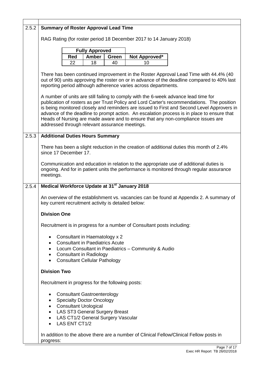| 2.5.2 | <b>Summary of Roster Approval Lead Time</b>                                                                                                                                                                                                                                                                                                                                                                                                                                                                                              |     |                                                                         |       |                                                           |                                                                                                                                                                                    |
|-------|------------------------------------------------------------------------------------------------------------------------------------------------------------------------------------------------------------------------------------------------------------------------------------------------------------------------------------------------------------------------------------------------------------------------------------------------------------------------------------------------------------------------------------------|-----|-------------------------------------------------------------------------|-------|-----------------------------------------------------------|------------------------------------------------------------------------------------------------------------------------------------------------------------------------------------|
|       | RAG Rating (for roster period 18 December 2017 to 14 January 2018)                                                                                                                                                                                                                                                                                                                                                                                                                                                                       |     |                                                                         |       |                                                           |                                                                                                                                                                                    |
|       |                                                                                                                                                                                                                                                                                                                                                                                                                                                                                                                                          |     |                                                                         |       |                                                           |                                                                                                                                                                                    |
|       |                                                                                                                                                                                                                                                                                                                                                                                                                                                                                                                                          | Red | <b>Fully Approved</b><br><b>Amber</b>                                   | Green | Not Approved*                                             |                                                                                                                                                                                    |
|       |                                                                                                                                                                                                                                                                                                                                                                                                                                                                                                                                          | 22  | 18                                                                      | 40    | 10                                                        |                                                                                                                                                                                    |
|       | There has been continued improvement in the Roster Approval Lead Time with 44.4% (40<br>out of 90) units approving the roster on or in advance of the deadline compared to 40% last<br>reporting period although adherence varies across departments.<br>A number of units are still failing to comply with the 6-week advance lead time for<br>publication of rosters as per Trust Policy and Lord Carter's recommendations. The position<br>is being monitored closely and reminders are issued to First and Second Level Approvers in |     |                                                                         |       |                                                           |                                                                                                                                                                                    |
|       | advance of the deadline to prompt action. An escalation process is in place to ensure that<br>Heads of Nursing are made aware and to ensure that any non-compliance issues are<br>addressed through relevant assurance meetings.                                                                                                                                                                                                                                                                                                         |     |                                                                         |       |                                                           |                                                                                                                                                                                    |
| 2.5.3 | <b>Additional Duties Hours Summary</b>                                                                                                                                                                                                                                                                                                                                                                                                                                                                                                   |     |                                                                         |       |                                                           |                                                                                                                                                                                    |
|       | since 17 December 17.                                                                                                                                                                                                                                                                                                                                                                                                                                                                                                                    |     |                                                                         |       |                                                           | There has been a slight reduction in the creation of additional duties this month of 2.4%                                                                                          |
|       | meetings.                                                                                                                                                                                                                                                                                                                                                                                                                                                                                                                                |     |                                                                         |       |                                                           | Communication and education in relation to the appropriate use of additional duties is<br>ongoing. And for in patient units the performance is monitored through regular assurance |
| 2.5.4 |                                                                                                                                                                                                                                                                                                                                                                                                                                                                                                                                          |     |                                                                         |       | Medical Workforce Update at 31 <sup>st</sup> January 2018 |                                                                                                                                                                                    |
|       | An overview of the establishment vs. vacancies can be found at Appendix 2. A summary of<br>key current recruitment activity is detailed below:                                                                                                                                                                                                                                                                                                                                                                                           |     |                                                                         |       |                                                           |                                                                                                                                                                                    |
|       | <b>Division One</b>                                                                                                                                                                                                                                                                                                                                                                                                                                                                                                                      |     |                                                                         |       |                                                           |                                                                                                                                                                                    |
|       | Recruitment is in progress for a number of Consultant posts including:                                                                                                                                                                                                                                                                                                                                                                                                                                                                   |     |                                                                         |       |                                                           |                                                                                                                                                                                    |
|       | $\bullet$                                                                                                                                                                                                                                                                                                                                                                                                                                                                                                                                |     | Consultant in Haematology x 2<br><b>Consultant in Paediatrics Acute</b> |       |                                                           |                                                                                                                                                                                    |
|       | $\bullet$                                                                                                                                                                                                                                                                                                                                                                                                                                                                                                                                |     | • Consultant in Radiology                                               |       | Locum Consultant in Paediatrics - Community & Audio       |                                                                                                                                                                                    |
|       | $\bullet$                                                                                                                                                                                                                                                                                                                                                                                                                                                                                                                                |     | <b>Consultant Cellular Pathology</b>                                    |       |                                                           |                                                                                                                                                                                    |
|       | <b>Division Two</b>                                                                                                                                                                                                                                                                                                                                                                                                                                                                                                                      |     |                                                                         |       |                                                           |                                                                                                                                                                                    |
|       |                                                                                                                                                                                                                                                                                                                                                                                                                                                                                                                                          |     | Recruitment in progress for the following posts:                        |       |                                                           |                                                                                                                                                                                    |
|       | <b>Consultant Gastroenterology</b><br>٠<br><b>Specialty Doctor Oncology</b><br>$\bullet$<br><b>Consultant Urological</b><br>$\bullet$<br>• LAS ST3 General Surgery Breast<br>• LAS CT1/2 General Surgery Vascular<br>• LAS ENT CT1/2                                                                                                                                                                                                                                                                                                     |     |                                                                         |       |                                                           |                                                                                                                                                                                    |
|       | progress:                                                                                                                                                                                                                                                                                                                                                                                                                                                                                                                                |     |                                                                         |       |                                                           | In addition to the above there are a number of Clinical Fellow/Clinical Fellow posts in                                                                                            |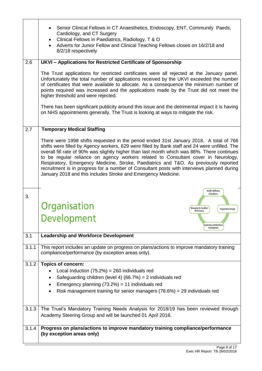|       | Senior Clinical Fellows in CT Anaesthetics, Endoscopy, ENT, Community Paeds,<br>Cardiology, and CT Surgery<br>Clinical Fellows in Paediatrics, Radiology, T & O<br>$\bullet$<br>Adverts for Junior Fellow and Clinical Teaching Fellows closes on 16/2/18 and<br>$\bullet$<br>8/2/18 respectively                                                                                                                                                                                                                                                                                                                                   |
|-------|-------------------------------------------------------------------------------------------------------------------------------------------------------------------------------------------------------------------------------------------------------------------------------------------------------------------------------------------------------------------------------------------------------------------------------------------------------------------------------------------------------------------------------------------------------------------------------------------------------------------------------------|
| 2.6   | UKVI - Applications for Restricted Certificate of Sponsorship                                                                                                                                                                                                                                                                                                                                                                                                                                                                                                                                                                       |
|       | The Trust applications for restricted certificates were all rejected at the January panel.<br>Unfortunately the total number of applications received by the UKVI exceeded the number<br>of certificates that were available to allocate. As a consequence the minimum number of<br>points required was increased and the applications made by the Trust did not meet the<br>higher threshold and were rejected.<br>There has been significant publicity around this issue and the detrimental impact it is having                                                                                                                  |
|       | on NHS appointments generally. The Trust is looking at ways to mitigate the risk.                                                                                                                                                                                                                                                                                                                                                                                                                                                                                                                                                   |
|       |                                                                                                                                                                                                                                                                                                                                                                                                                                                                                                                                                                                                                                     |
| 2.7   | <b>Temporary Medical Staffing</b>                                                                                                                                                                                                                                                                                                                                                                                                                                                                                                                                                                                                   |
|       | There were 1998 shifts requested in the period ended 31st January 2018. A total of 766<br>shifts were filled by Agency workers, 629 were filled by Bank staff and 24 were unfilled. The<br>overall fill rate of 90% was slightly higher than last month which was 88%. There continues<br>to be regular reliance on agency workers related to Consultant cover in Neurology,<br>Respiratory, Emergency Medicine, Stroke, Paediatrics and T&O. As previously reported<br>recruitment is in progress for a number of Consultant posts with interviews planned during<br>January 2018 and this includes Stroke and Emergency Medicine. |
|       |                                                                                                                                                                                                                                                                                                                                                                                                                                                                                                                                                                                                                                     |
| 3.    | Health, Wellbeing<br>& Resilience<br>Organisation<br>Managing for Excellent<br><b>Organisation Design</b>                                                                                                                                                                                                                                                                                                                                                                                                                                                                                                                           |
|       | Performance<br>Development<br>Leadership and Workforce<br>Development                                                                                                                                                                                                                                                                                                                                                                                                                                                                                                                                                               |
| 3.1   | <b>Leadership and Workforce Development</b>                                                                                                                                                                                                                                                                                                                                                                                                                                                                                                                                                                                         |
| 3.1.1 | This report includes an update on progress on plans/actions to improve mandatory training<br>compliance/performance (by exception areas only).                                                                                                                                                                                                                                                                                                                                                                                                                                                                                      |
| 3.1.2 | <b>Topics of concern:</b>                                                                                                                                                                                                                                                                                                                                                                                                                                                                                                                                                                                                           |
|       | Local Induction $(75.2%) = 260$ individuals red                                                                                                                                                                                                                                                                                                                                                                                                                                                                                                                                                                                     |
|       | Safeguarding children (level 4) $(66.7%) = 2$ individuals red<br>Emergency planning $(73.2%) = 11$ individuals red                                                                                                                                                                                                                                                                                                                                                                                                                                                                                                                  |
|       | Risk management training for senior managers $(78.6%) = 29$ individuals red                                                                                                                                                                                                                                                                                                                                                                                                                                                                                                                                                         |
|       |                                                                                                                                                                                                                                                                                                                                                                                                                                                                                                                                                                                                                                     |
| 3.1.3 | The Trust's Mandatory Training Needs Analysis for 2018/19 has been reviewed through                                                                                                                                                                                                                                                                                                                                                                                                                                                                                                                                                 |
|       | Academy Steering Group and will be launched 01 April 2018.                                                                                                                                                                                                                                                                                                                                                                                                                                                                                                                                                                          |
| 3.1.4 |                                                                                                                                                                                                                                                                                                                                                                                                                                                                                                                                                                                                                                     |
|       | Progress on plans/actions to improve mandatory training compliance/performance                                                                                                                                                                                                                                                                                                                                                                                                                                                                                                                                                      |
|       | (by exception areas only)                                                                                                                                                                                                                                                                                                                                                                                                                                                                                                                                                                                                           |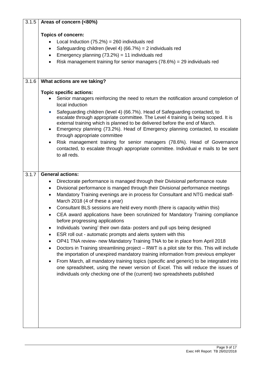| 3.1.5 | Areas of concern (<80%)                                                                                                                                                                                                                                                                                                                                                                                                                                                                                                                                                                                                                                                                                                                                                                                                                                                                                                                                                                                                                                                                                                                                                                                               |  |  |  |  |
|-------|-----------------------------------------------------------------------------------------------------------------------------------------------------------------------------------------------------------------------------------------------------------------------------------------------------------------------------------------------------------------------------------------------------------------------------------------------------------------------------------------------------------------------------------------------------------------------------------------------------------------------------------------------------------------------------------------------------------------------------------------------------------------------------------------------------------------------------------------------------------------------------------------------------------------------------------------------------------------------------------------------------------------------------------------------------------------------------------------------------------------------------------------------------------------------------------------------------------------------|--|--|--|--|
|       | <b>Topics of concern:</b><br>Local Induction $(75.2%) = 260$ individuals red<br>Safeguarding children (level 4) (66.7%) = $2$ individuals red<br>$\bullet$<br>Emergency planning $(73.2%) = 11$ individuals red<br>$\bullet$<br>Risk management training for senior managers $(78.6%) = 29$ individuals red<br>$\bullet$                                                                                                                                                                                                                                                                                                                                                                                                                                                                                                                                                                                                                                                                                                                                                                                                                                                                                              |  |  |  |  |
| 3.1.6 | What actions are we taking?                                                                                                                                                                                                                                                                                                                                                                                                                                                                                                                                                                                                                                                                                                                                                                                                                                                                                                                                                                                                                                                                                                                                                                                           |  |  |  |  |
|       | <b>Topic specific actions:</b><br>Senior managers reinforcing the need to return the notification around completion of<br>local induction<br>Safeguarding children (level 4) (66.7%). Head of Safeguarding contacted, to<br>$\bullet$<br>escalate through appropriate committee. The Level 4 training is being scoped. It is<br>external training which is planned to be delivered before the end of March.<br>Emergency planning (73.2%). Head of Emergency planning contacted, to escalate<br>٠<br>through appropriate committee<br>Risk management training for senior managers (78.6%). Head of Governance<br>contacted, to escalate through appropriate committee. Individual e mails to be sent<br>to all reds.                                                                                                                                                                                                                                                                                                                                                                                                                                                                                                 |  |  |  |  |
| 3.1.7 | <b>General actions:</b>                                                                                                                                                                                                                                                                                                                                                                                                                                                                                                                                                                                                                                                                                                                                                                                                                                                                                                                                                                                                                                                                                                                                                                                               |  |  |  |  |
|       | Directorate performance is managed through their Divisional performance route<br>٠<br>Divisional performance is manged through their Divisional performance meetings<br>٠<br>Mandatory Training evenings are in process for Consultant and NTG medical staff-<br>$\bullet$<br>March 2018 (4 of these a year)<br>Consultant BLS sessions are held every month (there is capacity within this)<br>CEA award applications have been scrutinized for Mandatory Training compliance<br>before progressing applications<br>Individuals 'owning' their own data- posters and pull ups being designed<br>$\bullet$<br>ESR roll out - automatic prompts and alerts system with this<br>$\bullet$<br>OP41 TNA review- new Mandatory Training TNA to be in place from April 2018<br>Doctors in Training streamlining project - RWT is a pilot site for this. This will include<br>the importation of unexpired mandatory training information from previous employer<br>From March, all mandatory training topics (specific and generic) to be integrated into<br>one spreadsheet, using the newer version of Excel. This will reduce the issues of<br>individuals only checking one of the (current) two spreadsheets published |  |  |  |  |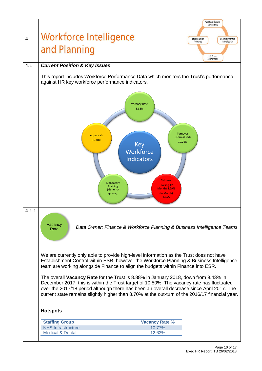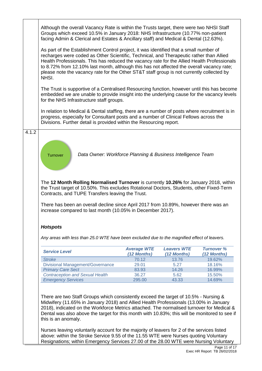|       | <b>Hotspots</b><br>Any areas with less than 25.0 WTE have been excluded due to the magnified effect of leavers.<br><b>Service Level</b><br><b>Stroke</b><br><b>Divisional Management/Governance</b><br><b>Primary Care Sect</b><br><b>Contraception and Sexual Health</b><br><b>Emergency Services</b><br>There are two Staff Groups which consistently exceed the target of 10.5% - Nursing &<br>Midwifery (11.65% in January 2018) and Allied Health Professionals (13.00% in January<br>2018), indicated on the Workforce Metrics attached. The normalised turnover for Medical &<br>Dental was also above the target for this month with 10.83%; this will be monitored to see if<br>this is an anomaly.<br>Nurses leaving voluntarily account for the majority of leavers for 2 of the services listed<br>above: within the Stroke Service 9.55 of the 11.55 WTE were Nurses quoting Voluntary<br>Resignations; within Emergency Services 27.00 of the 28.00 WTE were Nursing Voluntary | <b>Average WTE</b><br>(12 Months)<br>70.12<br>29.01<br>83.93<br>36.27<br>295.00                                                                                                                                                                                                                    | <b>Leavers WTE</b><br>(12 Months)<br>13.76<br>5.27<br>14.26<br>5.62<br>43.33 | <b>Turnover %</b><br>(12 Months)<br>19.62%<br>18.16%<br>16.99%<br>15.50%<br>14.69% |  |  |
|-------|----------------------------------------------------------------------------------------------------------------------------------------------------------------------------------------------------------------------------------------------------------------------------------------------------------------------------------------------------------------------------------------------------------------------------------------------------------------------------------------------------------------------------------------------------------------------------------------------------------------------------------------------------------------------------------------------------------------------------------------------------------------------------------------------------------------------------------------------------------------------------------------------------------------------------------------------------------------------------------------------|----------------------------------------------------------------------------------------------------------------------------------------------------------------------------------------------------------------------------------------------------------------------------------------------------|------------------------------------------------------------------------------|------------------------------------------------------------------------------------|--|--|
|       |                                                                                                                                                                                                                                                                                                                                                                                                                                                                                                                                                                                                                                                                                                                                                                                                                                                                                                                                                                                              |                                                                                                                                                                                                                                                                                                    |                                                                              |                                                                                    |  |  |
|       |                                                                                                                                                                                                                                                                                                                                                                                                                                                                                                                                                                                                                                                                                                                                                                                                                                                                                                                                                                                              |                                                                                                                                                                                                                                                                                                    |                                                                              |                                                                                    |  |  |
|       |                                                                                                                                                                                                                                                                                                                                                                                                                                                                                                                                                                                                                                                                                                                                                                                                                                                                                                                                                                                              |                                                                                                                                                                                                                                                                                                    |                                                                              |                                                                                    |  |  |
|       |                                                                                                                                                                                                                                                                                                                                                                                                                                                                                                                                                                                                                                                                                                                                                                                                                                                                                                                                                                                              |                                                                                                                                                                                                                                                                                                    |                                                                              |                                                                                    |  |  |
|       |                                                                                                                                                                                                                                                                                                                                                                                                                                                                                                                                                                                                                                                                                                                                                                                                                                                                                                                                                                                              |                                                                                                                                                                                                                                                                                                    |                                                                              |                                                                                    |  |  |
|       |                                                                                                                                                                                                                                                                                                                                                                                                                                                                                                                                                                                                                                                                                                                                                                                                                                                                                                                                                                                              |                                                                                                                                                                                                                                                                                                    |                                                                              |                                                                                    |  |  |
|       |                                                                                                                                                                                                                                                                                                                                                                                                                                                                                                                                                                                                                                                                                                                                                                                                                                                                                                                                                                                              |                                                                                                                                                                                                                                                                                                    |                                                                              |                                                                                    |  |  |
|       |                                                                                                                                                                                                                                                                                                                                                                                                                                                                                                                                                                                                                                                                                                                                                                                                                                                                                                                                                                                              |                                                                                                                                                                                                                                                                                                    |                                                                              |                                                                                    |  |  |
|       |                                                                                                                                                                                                                                                                                                                                                                                                                                                                                                                                                                                                                                                                                                                                                                                                                                                                                                                                                                                              |                                                                                                                                                                                                                                                                                                    |                                                                              |                                                                                    |  |  |
|       |                                                                                                                                                                                                                                                                                                                                                                                                                                                                                                                                                                                                                                                                                                                                                                                                                                                                                                                                                                                              | the Trust target of 10.50%. This excludes Rotational Doctors, Students, other Fixed-Term<br>Contracts, and TUPE Transfers leaving the Trust.<br>There has been an overall decline since April 2017 from 10.89%, however there was an<br>increase compared to last month (10.05% in December 2017). |                                                                              |                                                                                    |  |  |
|       | The 12 Month Rolling Normalised Turnover is currently 10.26% for January 2018, within                                                                                                                                                                                                                                                                                                                                                                                                                                                                                                                                                                                                                                                                                                                                                                                                                                                                                                        |                                                                                                                                                                                                                                                                                                    |                                                                              |                                                                                    |  |  |
|       | Data Owner: Workforce Planning & Business Intelligence Team<br>Turnover                                                                                                                                                                                                                                                                                                                                                                                                                                                                                                                                                                                                                                                                                                                                                                                                                                                                                                                      |                                                                                                                                                                                                                                                                                                    |                                                                              |                                                                                    |  |  |
| 4.1.2 |                                                                                                                                                                                                                                                                                                                                                                                                                                                                                                                                                                                                                                                                                                                                                                                                                                                                                                                                                                                              |                                                                                                                                                                                                                                                                                                    |                                                                              |                                                                                    |  |  |
|       | In relation to Medical & Dental staffing, there are a number of posts where recruitment is in<br>progress, especially for Consultant posts and a number of Clinical Fellows across the<br>Divisions. Further detail is provided within the Resourcing report.                                                                                                                                                                                                                                                                                                                                                                                                                                                                                                                                                                                                                                                                                                                                |                                                                                                                                                                                                                                                                                                    |                                                                              |                                                                                    |  |  |
|       | The Trust is supportive of a Centralised Resourcing function, however until this has become<br>embedded we are unable to provide insight into the underlying cause for the vacancy levels<br>for the NHS Infrastructure staff groups.                                                                                                                                                                                                                                                                                                                                                                                                                                                                                                                                                                                                                                                                                                                                                        |                                                                                                                                                                                                                                                                                                    |                                                                              |                                                                                    |  |  |
|       | As part of the Establishment Control project, it was identified that a small number of<br>recharges were coded as Other Scientific, Technical, and Therapeutic rather than Allied<br>Health Professionals. This has reduced the vacancy rate for the Allied Health Professionals<br>to 8.72% from 12.10% last month, although this has not affected the overall vacancy rate;<br>please note the vacancy rate for the Other ST&T staff group is not currently collected by<br>NHSI.                                                                                                                                                                                                                                                                                                                                                                                                                                                                                                          |                                                                                                                                                                                                                                                                                                    |                                                                              |                                                                                    |  |  |
|       |                                                                                                                                                                                                                                                                                                                                                                                                                                                                                                                                                                                                                                                                                                                                                                                                                                                                                                                                                                                              |                                                                                                                                                                                                                                                                                                    |                                                                              |                                                                                    |  |  |
|       | Although the overall Vacancy Rate is within the Trusts target, there were two NHSI Staff<br>Groups which exceed 10.5% in January 2018: NHS Infrastructure (10.77% non-patient<br>facing Admin & Clerical and Estates & Ancillary staff) and Medical & Dental (12.63%).                                                                                                                                                                                                                                                                                                                                                                                                                                                                                                                                                                                                                                                                                                                       |                                                                                                                                                                                                                                                                                                    |                                                                              |                                                                                    |  |  |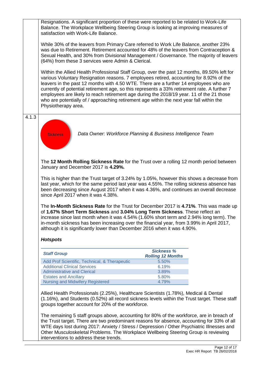Resignations. A significant proportion of these were reported to be related to Work-Life Balance. The Workplace Wellbeing Steering Group is looking at improving measures of satisfaction with Work-Life Balance.

While 30% of the leavers from Primary Care referred to Work Life Balance, another 23% was due to Retirement. Retirement accounted for 48% of the leavers from Contraception & Sexual Health, and 30% from Divisional Management / Governance. The majority of leavers (64%) from these 3 services were Admin & Clerical.

Within the Allied Health Professional Staff Group, over the past 12 months, 89.50% left for various Voluntary Resignation reasons. 7 employees retired, accounting for 8.92% of the leavers in the past 12 months with 4.50 WTE. There are a further 14 employees who are currently of potential retirement age, so this represents a 33% retirement rate. A further 7 employees are likely to reach retirement age during the 2018/19 year. 11 of the 21 those who are potentially of / approaching retirement age within the next year fall within the Physiotherapy area.

4.1.3



*Data Owner: Workforce Planning & Business Intelligence Team*

The **12 Month Rolling Sickness Rate** for the Trust over a rolling 12 month period between January and December 2017 is **4.29%.** 

This is higher than the Trust target of 3.24% by 1.05%, however this shows a decrease from last year, which for the same period last year was 4.55%. The rolling sickness absence has been decreasing since August 2017 when it was 4.36%, and continues an overall decrease since April 2017 when it was 4.38%.

The **In-Month Sickness Rate** for the Trust for December 2017 is **4.71%**. This was made up of **1.67% Short Term Sickness** and **3.04% Long Term Sickness**. These reflect an increase since last month when it was 4.54% (1.60% short term and 2.94% long term). The in-month sickness has been increasing over the financial year, from 3.99% in April 2017, although it is significantly lower than December 2016 when it was 4.90%.

### *Hotspots*

| <b>Staff Group</b>                            | <b>Sickness %</b><br><b>Rolling 12 Months</b> |
|-----------------------------------------------|-----------------------------------------------|
| Add Prof Scientific, Technical, & Therapeutic | 5.50%                                         |
| <b>Additional Clinical Services</b>           | 6.19%                                         |
| <b>Administrative and Clerical</b>            | 3.89%                                         |
| <b>Estates and Ancillary</b>                  | 5.80%                                         |
| Nursing and Midwifery Registered              | 4.79%                                         |

Allied Health Professionals (2.25%), Healthcare Scientists (1.78%), Medical & Dental (1.16%), and Students (0.52%) all record sickness levels within the Trust target. These staff groups together account for 20% of the workforce.

The remaining 5 staff groups above, accounting for 80% of the workforce, are in breach of the Trust target. There are two predominant reasons for absence, accounting for 33% of all WTE days lost during 2017: Anxiety / Stress / Depression / Other Psychiatric Illnesses and Other Musculoskeletal Problems. The Workplace Wellbeing Steering Group is reviewing interventions to address these trends.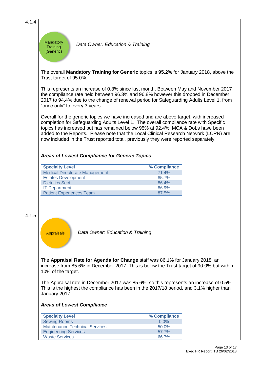| 4.1.4 |                                                                                                                                                                                                                                                                                                                                                                                                                                                  |                                                      |                                                                                                                                                                           |  |  |  |  |
|-------|--------------------------------------------------------------------------------------------------------------------------------------------------------------------------------------------------------------------------------------------------------------------------------------------------------------------------------------------------------------------------------------------------------------------------------------------------|------------------------------------------------------|---------------------------------------------------------------------------------------------------------------------------------------------------------------------------|--|--|--|--|
|       |                                                                                                                                                                                                                                                                                                                                                                                                                                                  |                                                      |                                                                                                                                                                           |  |  |  |  |
|       | Mandatory<br>Data Owner: Education & Training<br><b>Training</b><br>(Generic)                                                                                                                                                                                                                                                                                                                                                                    |                                                      |                                                                                                                                                                           |  |  |  |  |
|       | The overall Mandatory Training for Generic topics is 95.2% for January 2018, above the<br>Trust target of 95.0%.                                                                                                                                                                                                                                                                                                                                 |                                                      |                                                                                                                                                                           |  |  |  |  |
|       | This represents an increase of 0.8% since last month. Between May and November 2017<br>the compliance rate held between 96.3% and 96.8% however this dropped in December<br>2017 to 94.4% due to the change of renewal period for Safeguarding Adults Level 1, from<br>"once only" to every 3 years.                                                                                                                                             |                                                      |                                                                                                                                                                           |  |  |  |  |
|       | Overall for the generic topics we have increased and are above target, with increased<br>completion for Safeguarding Adults Level 1. The overall compliance rate with Specific<br>topics has increased but has remained below 95% at 92.4%. MCA & DoLs have been<br>added to the Reports. Please note that the Local Clinical Research Network (LCRN) are<br>now included in the Trust reported total, previously they were reported separately. |                                                      |                                                                                                                                                                           |  |  |  |  |
|       |                                                                                                                                                                                                                                                                                                                                                                                                                                                  | <b>Areas of Lowest Compliance for Generic Topics</b> |                                                                                                                                                                           |  |  |  |  |
|       | <b>Specialty Level</b>                                                                                                                                                                                                                                                                                                                                                                                                                           |                                                      | % Compliance                                                                                                                                                              |  |  |  |  |
|       |                                                                                                                                                                                                                                                                                                                                                                                                                                                  | <b>Medical Directorate Management</b>                | 71.4%                                                                                                                                                                     |  |  |  |  |
|       | <b>Estates Development</b>                                                                                                                                                                                                                                                                                                                                                                                                                       |                                                      | 85.7%                                                                                                                                                                     |  |  |  |  |
|       | <b>Dietetics Sect</b>                                                                                                                                                                                                                                                                                                                                                                                                                            |                                                      | 86.4%                                                                                                                                                                     |  |  |  |  |
|       | <b>IT Department</b>                                                                                                                                                                                                                                                                                                                                                                                                                             |                                                      | 86.9%                                                                                                                                                                     |  |  |  |  |
|       | <b>Patient Experiences Team</b>                                                                                                                                                                                                                                                                                                                                                                                                                  |                                                      | 87.5%                                                                                                                                                                     |  |  |  |  |
|       |                                                                                                                                                                                                                                                                                                                                                                                                                                                  |                                                      |                                                                                                                                                                           |  |  |  |  |
| 4.1.5 | <b>Appraisals</b>                                                                                                                                                                                                                                                                                                                                                                                                                                | Data Owner: Education & Training                     |                                                                                                                                                                           |  |  |  |  |
|       | 10% of the target.                                                                                                                                                                                                                                                                                                                                                                                                                               |                                                      | The Appraisal Rate for Agenda for Change staff was 86.1% for January 2018, an<br>increase from 85.6% in December 2017. This is below the Trust target of 90.0% but within |  |  |  |  |
|       | The Appraisal rate in December 2017 was 85.6%, so this represents an increase of 0.5%.<br>This is the highest the compliance has been in the 2017/18 period, and 3.1% higher than<br>January 2017.                                                                                                                                                                                                                                               |                                                      |                                                                                                                                                                           |  |  |  |  |
|       | <b>Areas of Lowest Compliance</b>                                                                                                                                                                                                                                                                                                                                                                                                                |                                                      |                                                                                                                                                                           |  |  |  |  |
|       | <b>Specialty Level</b>                                                                                                                                                                                                                                                                                                                                                                                                                           |                                                      | % Compliance                                                                                                                                                              |  |  |  |  |
|       | <b>Sewing Rooms</b>                                                                                                                                                                                                                                                                                                                                                                                                                              |                                                      | 0.0%                                                                                                                                                                      |  |  |  |  |
|       |                                                                                                                                                                                                                                                                                                                                                                                                                                                  | <b>Maintenance Technical Services</b>                | 50.0%                                                                                                                                                                     |  |  |  |  |
|       | <b>Engineering Services</b>                                                                                                                                                                                                                                                                                                                                                                                                                      |                                                      | 57.7%                                                                                                                                                                     |  |  |  |  |
|       | <b>Waste Services</b>                                                                                                                                                                                                                                                                                                                                                                                                                            |                                                      | 66.7%                                                                                                                                                                     |  |  |  |  |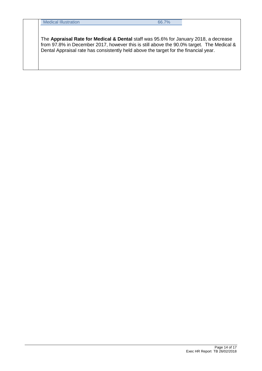The **Appraisal Rate for Medical & Dental** staff was 95.6% for January 2018, a decrease from 97.8% in December 2017, however this is still above the 90.0% target. The Medical & Dental Appraisal rate has consistently held above the target for the financial year.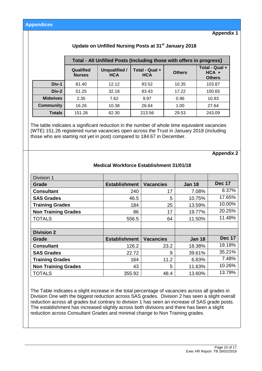**Appendix 1**

## **Update on Unfilled Nursing Posts at 31st January 2018**

|                  |                            |                             | Total - All Unfilled Posts (Including those with offers in progress) |               |                                            |
|------------------|----------------------------|-----------------------------|----------------------------------------------------------------------|---------------|--------------------------------------------|
|                  | Qualified<br><b>Nurses</b> | Unqualified /<br><b>HCA</b> | Total - Qual +<br><b>HCA</b>                                         | <b>Others</b> | Total - Qual +<br>$HCA +$<br><b>Others</b> |
| Div-1            | 81.40                      | 12.12                       | 93.52                                                                | 10.35         | 103.87                                     |
| $Div-2$          | 51.25                      | 32.18                       | 83.43                                                                | 17.22         | 100.65                                     |
| <b>Midwives</b>  | 2.35                       | 7.62                        | 9.97                                                                 | 0.96          | 10.93                                      |
| <b>Community</b> | 16.26                      | 10.38                       | 26.64                                                                | 1.00          | 27.64                                      |
| <b>Totals</b>    | 151.26                     | 62.30                       | 213.56                                                               | 29.53         | 243.09                                     |

The table indicates a significant reduction in the number of whole time equivalent vacancies (WTE) 151.26 registered nurse vacancies open across the Trust in January 2018 (including those who are starting not yet in post) compared to 184.67 in December.

#### **Appendix 2**

| Division 1                 |                      |                  |               |               |
|----------------------------|----------------------|------------------|---------------|---------------|
| Grade                      | <b>Establishment</b> | <b>Vacancies</b> | <b>Jan 18</b> | <b>Dec 17</b> |
| <b>Consultant</b>          | 240                  | 17               | 7.08%         | 8.37%         |
| <b>SAS Grades</b>          | 46.5                 | 5                | 10.75%        | 17.65%        |
| <b>Training Grades</b>     | 184                  | 25               | 13.59%        | 10.00%        |
| <b>Non Training Grades</b> | 86                   | 17               | 19.77%        | 20.25%        |
| <b>TOTALS</b>              | 556.5                | 64               | 11.50%        | 11.48%        |
|                            |                      |                  |               |               |
| <b>Division 2</b>          |                      |                  |               |               |
| Grade                      | <b>Establishment</b> | <b>Vacancies</b> | <b>Jan 18</b> | <b>Dec 17</b> |
| <b>Consultant</b>          | 126.2                | 23.2             | 18.38%        | 19.18%        |
| <b>SAS Grades</b>          | 22.72                | 9                | 39.61%        | 35.21%        |
| <b>Training Grades</b>     | 164                  | 11.2             | 6.83%         | 7.48%         |
| <b>Non Training Grades</b> | 43                   | 5                | 11.63%        | 10.26%        |
| <b>TOTALS</b>              | 355.92               | 48.4             | 13.60%        | 13.79%        |

#### **Medical Workforce Establishment 31/01/18**

The Table indicates a slight increase in the total percentage of vacancies across all grades in Division One with the biggest reduction across SAS grades. Division 2 has seen a slight overall reduction across all grades but contrary to division 1 has seen an increase of SAS grade posts. The establishment has increased slightly across both divisions and there has been a slight reduction across Consultant Grades and minimal change to Non Training grades.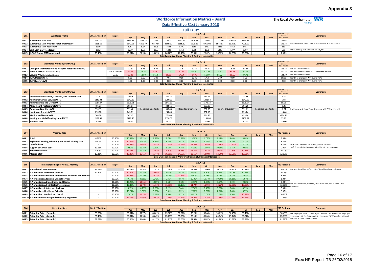## **Appendix 3**

|                                  |                                                                            |                   |                  |                   |                  |                           |                   |                                                                   |                           |                   |                       |                           |                   |     |                           |                           | <b>Appendix 3</b>                                                     |
|----------------------------------|----------------------------------------------------------------------------|-------------------|------------------|-------------------|------------------|---------------------------|-------------------|-------------------------------------------------------------------|---------------------------|-------------------|-----------------------|---------------------------|-------------------|-----|---------------------------|---------------------------|-----------------------------------------------------------------------|
|                                  |                                                                            |                   |                  |                   |                  |                           |                   | <b>Workforce Information Metrics - Board</b>                      |                           |                   |                       |                           |                   |     |                           |                           | The Royal Wolverhampton NHS                                           |
| Data Effective 31st January 2018 |                                                                            |                   |                  |                   |                  |                           |                   |                                                                   |                           |                   |                       |                           |                   |     | <b>NHS Truct</b>          |                           |                                                                       |
|                                  |                                                                            |                   |                  |                   |                  |                           |                   |                                                                   | <b>Full Trust</b>         |                   |                       |                           |                   |     |                           |                           |                                                                       |
| <b>B01</b>                       | <b>Workforce Profile</b>                                                   | 2016-17 Position  | <b>Target</b>    |                   |                  |                           |                   |                                                                   |                           | $2017 - 18$       |                       |                           |                   |     |                           | <b>TD Change</b><br>since | <b>Comments</b>                                                       |
| <b>B01.1</b>                     | <b>Substantive Staff WTE</b>                                               | 7150.11           |                  | Apr<br>7135.38    | May<br>7137.14   | Jun<br>7136.91            | Jul<br>7144.72    | Aug<br>7147.22                                                    | Sep<br>7201.33            | Oct<br>7252.61    | <b>Nov</b><br>7271.50 | Dec<br>7260.46            | Jan<br>7295.78    | Feb | Mar                       | 31st Mar 17<br>145.67     |                                                                       |
|                                  | B01.2 Substantive Staff WTE (Exc Rotational Doctors)                       | 6861.66           |                  | 6849.03           | 6855.79          | 6857.56                   | 6869.17           | 6855.30                                                           | 6905.85                   | 6955.02           | 6978.91               | 6970.57                   | 7008.00           |     |                           | 146.34                    | Inc Permanent, Fixed Term, & Locums with WTE on Payroll               |
|                                  | <b>B01.3</b> Substantive Staff Headcount                                   | 8300              |                  | 8293              | 8294             | 8295                      | 8302              | 8301                                                              | 8358                      | 8417              | 8433                  | 8410                      | 8453              |     |                           | 153                       |                                                                       |
|                                  | B01.4 Bank Staff Only Headcount                                            | 1192<br>25.48%    |                  | 1239<br>25.64%    | 1271<br>25.96%   | 1258<br>26.03%            | 1289              | 1314                                                              | 1318<br>26.63%            | 1375              | 1348<br>26.52%        | 1377<br>26.69%            | 1397<br>26.78%    |     |                           | 205                       | Inc Bank Only with 0.00 WTE on Payroll                                |
|                                  | B01.5 % Staff from a BME background                                        |                   |                  |                   |                  |                           | 26.22%            | 26.43%<br>Data Owner: Workforce Planning & Business Information   |                           | 26.67%            |                       |                           |                   |     |                           | 1.30%                     |                                                                       |
|                                  |                                                                            |                   |                  |                   |                  |                           |                   |                                                                   |                           |                   |                       |                           |                   |     |                           |                           |                                                                       |
| <b>B02</b>                       | <b>Workforce Profile by Staff Group</b>                                    | 2016-17 Position  | <b>Target</b>    |                   |                  |                           |                   |                                                                   |                           | $2017 - 18$       |                       |                           |                   | Feb |                           | <b>TD Change</b><br>since | Comments                                                              |
| B02.1                            | Change in Workforce Profile WTE (Exc Rotational Doctors)                   | $\sim$            |                  | Apr<br>$-12.62$   | May<br>6.76      | Jun<br>1.78               | Jul<br>11.61      | Aug<br>$-13.87$                                                   | Sep<br>50.55              | Oct<br>49.16      | Nov<br>23.89          | Dec<br>$-8.34$            | Jan<br>37.43      |     | Mar                       | 31st Mar 17<br>146.34     | <b>Exc Rotational Doctors</b>                                         |
| <b>BO2.2</b>                     | Starters WTE (Exc Rotational Doctors)                                      |                   | $10\%$ > Leavers | 47.86             | 59.26            | 58.57                     | 77.29             | 60.67                                                             | 138.50                    | 100.66            | 75.61                 | 50.18                     | 82.14             |     |                           | 750.73                    | Exc Rotational Doctors; Inc Internal Movements                        |
| <b>B02.3</b>                     | <b>Leavers WTE (Exc Rotational Doctors)</b>                                | $\sim$            | 57.15            | 60.48             | 52.50            | 56.79                     | 65.68             | 74.54                                                             | 87.95                     | 51.50             | 51.72                 | 58.52                     | 44.71             |     |                           | 604.39                    | <b>Exc Rotational Doctors</b>                                         |
|                                  | B02.4 TUPE Starters WTE                                                    |                   |                  | 8.60              | 0.00             | 0.00                      | 7.61              | 0.00                                                              | 15.36                     | 17.35             | 0.89                  | 0.00                      | 1.00              |     |                           | 50.81                     | dentifies change in WTE due to TUPE                                   |
|                                  | B02.5 TUPE Leavers WTE                                                     |                   |                  | 1.00              | 1.00             | 0.00                      | 0.00              | 0.00<br>Data Owner: Workforce Planning & Business Information     | 0.00                      | 0.00              | 0.00                  | 0.00                      | 0.00              |     |                           | 2.00                      | Identifies change in WTE due to TUPE                                  |
|                                  |                                                                            |                   |                  |                   |                  |                           |                   |                                                                   |                           |                   |                       |                           |                   |     |                           |                           |                                                                       |
|                                  |                                                                            |                   |                  |                   |                  |                           |                   |                                                                   |                           | $2017 - 18$       |                       |                           |                   |     |                           | <b>TD Change</b>          |                                                                       |
| <b>B03</b>                       | <b>Workforce Profile by Staff Group</b>                                    | 2016-17 Position  | <b>Target</b>    | Apr               | May              | Jun                       | Jul               | Aug                                                               | Sep                       | Oct               | <b>Nov</b>            | <b>Dec</b>                | Jan               | Feb | Mar                       | $\sf since$<br>1st Mar 17 | <b>Comments</b>                                                       |
| B03.1                            | Additional Professional, Scientific, and Technical WTE                     | 231.51            |                  | 230.06            |                  |                           | 230.72            |                                                                   |                           | 231.94            |                       |                           | 234.86            |     |                           | 3.35                      |                                                                       |
| <b>B03.2</b>                     | <b>Additional Clinical Services WTE</b>                                    | 1242.02           |                  | 1240.89           |                  |                           | 1250.93           |                                                                   |                           | 1241.54           |                       |                           | 1247.90           |     |                           | 5.88                      |                                                                       |
| <b>B03.3</b><br><b>B03.4</b>     | Administrative and Clerical WTE<br>Allied Health Professionals WTE         | 1537.87<br>401.77 |                  | 1528.91<br>396.14 |                  |                           | 1541.13<br>382.16 |                                                                   |                           | 1578.33<br>393.88 |                       |                           | 1605.94<br>396.29 |     |                           | 68.06<br>$-5.47$          |                                                                       |
| <b>B03.5</b>                     | <b>Estates and Ancillary WTE</b>                                           | 559.13            |                  | 559.48            |                  | <b>Reported Quarterly</b> | 556.60            |                                                                   | <b>Reported Quarterly</b> | 557.55            |                       | <b>Reported Quarterly</b> | 552.61            |     | <b>Reported Quarterly</b> | $-6.51$                   | Inc Permanent, Fixed Term, & Locums with WTE on Payroll               |
| <b>B03.6</b>                     | <b>Healthcare Scientists WTE</b>                                           | 239.88            |                  | 243.01            |                  |                           | 249.00            |                                                                   |                           | 252.15            |                       |                           | 225.24            |     |                           | $-14.64$                  |                                                                       |
| <b>B03.7</b>                     | <b>Medical and Dental WTE</b>                                              | 768.38            |                  | 767.43            |                  |                           | 771.65            |                                                                   |                           | 814.35            |                       |                           | 493.64            |     |                           | $-274.74$                 |                                                                       |
|                                  | B03.8 Nursing and Midwifery Registered WTE                                 | 2129.56           |                  | 2128.46           |                  |                           | 2128.52           |                                                                   |                           | 2151.88           |                       |                           | 2162.72           |     |                           | 33.16                     |                                                                       |
|                                  | B03.9 Students WTE                                                         | 40.00             |                  | 41.00             |                  |                           | 34.00             |                                                                   |                           |                   |                       |                           |                   |     |                           |                           |                                                                       |
|                                  | Data Owner: Workforce Planning & Business Information                      |                   |                  |                   |                  |                           |                   |                                                                   |                           |                   |                       |                           |                   |     |                           | $-10.00$                  |                                                                       |
|                                  |                                                                            |                   |                  |                   |                  |                           |                   |                                                                   |                           | 31.00             |                       |                           | 30.00             |     |                           |                           |                                                                       |
|                                  |                                                                            |                   |                  |                   |                  |                           |                   |                                                                   |                           | $2017 - 18$       |                       |                           |                   |     |                           |                           |                                                                       |
| <b>B04</b>                       | <b>Vacancy Rate</b>                                                        | 2016-17 Position  |                  |                   |                  | Jun                       |                   |                                                                   |                           | Oct               | <b>Nov</b>            |                           | Jan               | Feb | Mar                       | <b>TD Position</b>        | <b>Comments</b>                                                       |
| B04.1 Total                      |                                                                            | 8.70%             | 10.50%           | Apr<br>10.32%     | May<br>10.21%    | 9.98%                     | Jul<br>9.78%      | Aug<br>10.21%                                                     | Sep<br>9.70%              | 9.68%             | 9.14%                 | Dec<br>9.43%              | 8.88%             |     |                           | 8.88%                     |                                                                       |
| <b>B04.2</b>                     | Registered Nursing, Midwifery and Health Visiting Staff                    | 9.67%             | 10.50%           | 10.54%            | 9.72%            | 8.82%                     | 8.44%             | 9.81%                                                             | 9.87%                     | 8.45%             | 8.12%                 | 8.39%                     | 8.27%             |     |                           | 8.27%                     |                                                                       |
|                                  | B04.3 Qualified AHP                                                        |                   | 10.50%           | 13.87%            | 14.62%           | 14.55%                    | 12.65%            | 14.61%                                                            | 12.54%                    | 13.46%            | 11.96%                | 12.10%                    | 8.72%             |     |                           | 8.72%                     | WTE Staff in Post in ESR vs Budgeted in Finance                       |
| <b>B04.4</b>                     | <b>Support to Clinical Staff</b>                                           | 10.11%            | 10.50%           | 9.93%             | 10.23%           | 7.52%                     | 6.14%             | 7.76%                                                             | 6.03%                     | 10.07%            | 10.30%                | 9.75%                     | 9.05%             |     |                           | 9.05%                     | Staff Group definitions determined by NHS Improvement                 |
|                                  | B04.5 NHS Infrastructure<br>B04.6 Medical Staff                            | 5.51%<br>12.33%   | 10.50%<br>10.50% | 11.01%<br>15.48%  | 10.31%<br>16.15% | 13.53%<br>16.44%          | 15.52%<br>16.58%  | 15.38%<br>14.68%                                                  | 15.85%<br>13.55%          | 12.87%<br>12.08%  | 10.93%<br>12.26%      | 11.54%<br>12.95%          | 10.77%<br>12.63%  |     |                           | 10.77%<br>12.63%          |                                                                       |
|                                  |                                                                            |                   |                  |                   |                  |                           |                   | Data Owners: Finance & Workforce Planning & Business Intelligence |                           |                   |                       |                           |                   |     |                           |                           |                                                                       |
|                                  |                                                                            |                   |                  |                   |                  |                           |                   |                                                                   |                           |                   |                       |                           |                   |     |                           |                           |                                                                       |
| <b>B05</b>                       | <b>Turnover (Rolling Previous 12 Months)</b>                               | 2016-17 Position  | <b>Target</b>    |                   |                  |                           |                   |                                                                   |                           | $2017 - 18$       |                       |                           |                   |     |                           | <b>TD Position</b>        | <b>Comments</b>                                                       |
|                                  |                                                                            |                   |                  | Apr               | May              | Jun                       | Jul               | Aug                                                               | Sep                       | Oct               | <b>Nov</b>            | Dec                       | Jan               | Feb | Mar                       |                           |                                                                       |
| <b>B05.1</b><br><b>B05.2</b>     | % Total Workforce Turnover<br>% Normalised Workforce Turnover              | 12.19%<br>10.89%  | 10.50%           | 12.02%<br>10.89%  | 11.91%<br>10.24% | 11.87%<br>10.95%          | 11.68%<br>10.40%  | 11.46%<br>9.82%                                                   | 11.09%<br>9.93%           | 11.00%<br>9.82%   | 10.73%<br>8.31%       | 10.96%<br>10.05%          | 10.82%<br>10.26%  |     |                           | 10.82%<br>10.26%          | Exc Rotational Drs (reflects NHS Digital Benchmarked data)            |
| B05.3                            | % Normalised: Additional Professional, Scientific, and Technic             |                   | 10.50%           | 11.48%            | 10.30%           | 10.73%                    | 10.26%            | 10.81%                                                            | 9.82%                     | 9.28%             | 8.07%                 | 8.72%                     | 8.94%             |     |                           | 8.94%                     |                                                                       |
| <b>B05.4</b>                     | % Normalised: Additional Clinical Services                                 |                   | 10.50%           | 9.77%             | 9.85%            | 9.76%                     | 9.46%             | 9.64%                                                             | 10.01%                    | 10.34%            | 10.16%                | 10.15%                    | 1.04%             |     |                           | 1.04%                     |                                                                       |
| <b>B05.5</b>                     | % Normalised: Administrative and Clerical                                  | $\sim$            | 10.50%           | 10.20%            | 10.51%           | 10.09%                    | 9.53%             | 9.18%                                                             | 8.91%                     | 8.94%             | 8.67%                 | 9.22%                     | 9.08%             |     |                           | 9.08%                     | Exc Rotational Drs, Students, TUPE Transfers, End of Fixed Term       |
| <b>B05.6</b>                     | % Normalised: Allied Health Professionals                                  | $\sim$            | 10.50%           | 10.43%            | 11.70%           | 11.14%                    | 11.90%            | 10.15%                                                            | 11.72%                    | 11.95%            | 12.22%                | 12.38%                    | 13.00%            |     |                           | 13.00%                    | contracts                                                             |
| <b>B05.7</b><br><b>B05.8</b>     | % Normalised: Estates and Ancillary<br>% Normalised: Healthcare Scientists | $\sim$            | 10.50%           | 6.17%<br>10.21%   | 6.19%<br>9.36%   | 7.00%<br>8.58%            | 7.22%<br>8.51%    | 7.44%                                                             | 7.56%<br>7.62%            | 7.40%             | 8.25%<br>7.61%        | 8.05%<br>7.60%            | 8.35%<br>6.57%    |     |                           | 8.35%                     |                                                                       |
|                                  | B05.9 % Normalised: Medical and Dental                                     |                   | 10.50%<br>10.50% | 7.05%             | 11.24%           | 7.58%                     | 8.85%             | 8.22%<br>6.71%                                                    | 6.61%                     | 7.56%<br>5.67%    | 5.02%                 | 8.50%                     | 10.83%            |     |                           | 6.57%<br>10.83%           |                                                                       |
|                                  | B05.10 % Normalised: Nursing and Midwifery Registered                      |                   | 10.50%           | 11.06%            | 10.92%           | 10.97%                    | 11.18%            | 11.62%                                                            | 11.96%                    | 11.76%            | 11.46%                | 11.45%                    | 11.65%            |     |                           | 11.65%                    |                                                                       |
|                                  |                                                                            |                   |                  |                   |                  |                           |                   | Data Owner: Workforce Planning & Business Information             |                           |                   |                       |                           |                   |     |                           |                           |                                                                       |
|                                  |                                                                            |                   |                  |                   |                  |                           |                   |                                                                   |                           | $2017 - 18$       |                       |                           |                   |     |                           |                           |                                                                       |
| <b>BO6</b>                       | <b>Retention Rate</b>                                                      | 2016-17 Position  |                  | Apr               | May              | Jun                       | Jul               | Aug                                                               | Sep                       | Oct               | <b>Nov</b>            | <b>Dec</b>                | Jan               | Feb | Mar                       | <b>TD Position</b>        | <b>Comments</b>                                                       |
| B06.1                            | <b>Retention Rate (12 months)</b>                                          | 89.60%            |                  | 89.54%            | 89.77%           | 89.61%                    | 89.82%            | 90.01%                                                            | 90.29%                    | 90.48%            | 90.61%                | 90.45%                    | 90.49%            |     |                           | 90.49%                    | No. Employees with 1 or more years service / No. Employees employed   |
|                                  | B06.2 Retention Rate (18 months)                                           | 85.46%            |                  | 85.34%            | 85.38%           | 85.45%                    | 85.28%            | 85.06%                                                            | 85.13%                    | 85.64%            | 85.84%                | 85.14%                    | 85.81%            |     |                           | 85.81%                    | 12m ago x 100. Exc Rotational Drs, Students, TUPE Transfers, Clinical |
|                                  | B06.3 Retention Rate (24 months)                                           | 81.22%            |                  | 80.86%            | 81.00%           | 81.17%                    | 81.21%            | 81.65%<br>Data Owner: Workforce Planning & Business Information   | 81.58%                    | 81.87%            | 81.88%                | 81.88%                    | 81.78%            |     |                           | 81.78%                    | Fellows, & Fixed Term Contracts                                       |